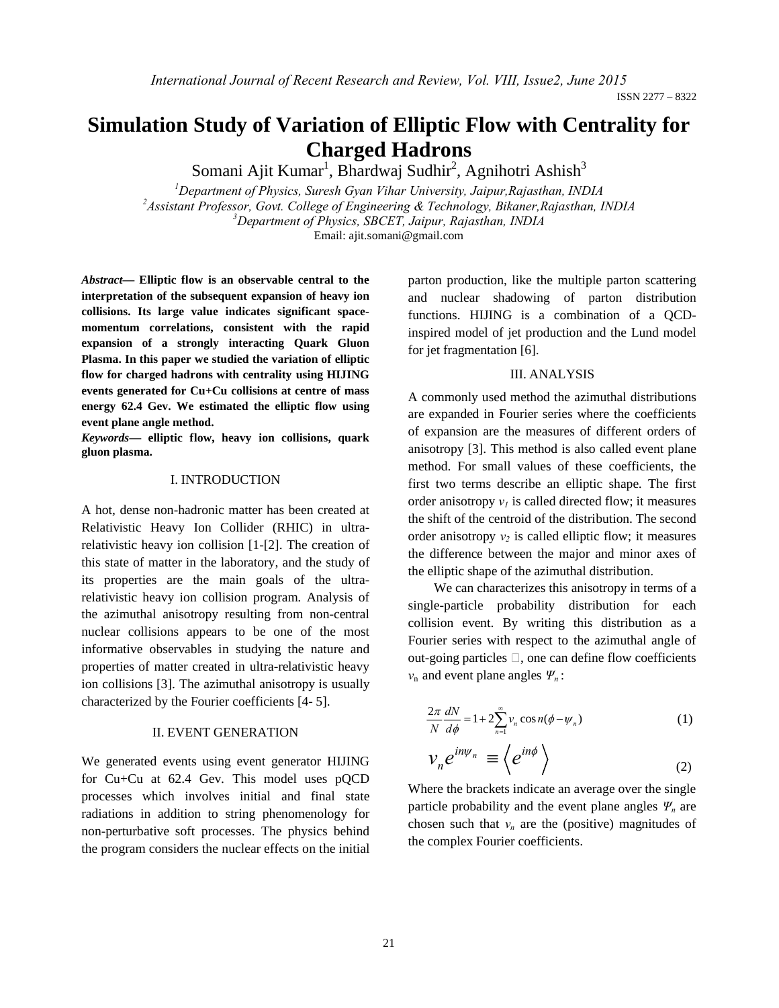ISSN 2277 – 8322

# **Simulation Study of Variation of Elliptic Flow with Centrality for Charged Hadrons**

Somani Ajit Kumar<sup>1</sup>, Bhardwaj Sudhir<sup>2</sup>, Agnihotri Ashish<sup>3</sup>

*1 Department of Physics, Suresh Gyan Vihar University, Jaipur,Rajasthan, INDIA 2 Assistant Professor, Govt. College of Engineering & Technology, Bikaner,Rajasthan, INDIA <sup>3</sup> Department of Physics, SBCET, Jaipur, Rajasthan, INDIA* Email: ajit.somani@gmail.com

*Abstract***— Elliptic flow is an observable central to the interpretation of the subsequent expansion of heavy ion collisions. Its large value indicates significant spacemomentum correlations, consistent with the rapid expansion of a strongly interacting Quark Gluon Plasma. In this paper we studied the variation of elliptic flow for charged hadrons with centrality using HIJING events generated for Cu+Cu collisions at centre of mass energy 62.4 Gev. We estimated the elliptic flow using event plane angle method.**

*Keywords***— elliptic flow, heavy ion collisions, quark gluon plasma.**

### I. INTRODUCTION

A hot, dense non-hadronic matter has been created at Relativistic Heavy Ion Collider (RHIC) in ultrarelativistic heavy ion collision [1-[2]. The creation of this state of matter in the laboratory, and the study of its properties are the main goals of the ultrarelativistic heavy ion collision program. Analysis of the azimuthal anisotropy resulting from non-central nuclear collisions appears to be one of the most informative observables in studying the nature and properties of matter created in ultra-relativistic heavy ion collisions [3]. The azimuthal anisotropy is usually characterized by the Fourier coefficients [4- 5].

#### II. EVENT GENERATION

We generated events using event generator HIJING for Cu+Cu at 62.4 Gev. This model uses pQCD processes which involves initial and final state radiations in addition to string phenomenology for non-perturbative soft processes. The physics behind the program considers the nuclear effects on the initial parton production, like the multiple parton scattering and nuclear shadowing of parton distribution functions. HIJING is a combination of a QCDinspired model of jet production and the Lund model for jet fragmentation [6].

# III. ANALYSIS

A commonly used method the azimuthal distributions are expanded in Fourier series where the coefficients of expansion are the measures of different orders of anisotropy [3]. This method is also called event plane method. For small values of these coefficients, the first two terms describe an elliptic shape. The first order anisotropy  $v_l$  is called directed flow; it measures the shift of the centroid of the distribution. The second order anisotropy  $v_2$  is called elliptic flow; it measures the difference between the major and minor axes of the elliptic shape of the azimuthal distribution.

We can characterizes this anisotropy in terms of a single-particle probability distribution for each collision event. By writing this distribution as a Fourier series with respect to the azimuthal angle of out-going particles  $\Box$ , one can define flow coefficients *v*n and event plane angles *Ψn* :

$$
\frac{2\pi}{N} \frac{dN}{d\phi} = 1 + 2 \sum_{n=1}^{\infty} v_n \cos n(\phi - \psi_n)
$$
\n
$$
v_n \cdot \frac{d^{n}\psi_n}{d\phi} = \frac{d^{n}\phi}{d\phi}
$$
\n
$$
(1)
$$

$$
v_n e^{i n \psi_n} \equiv \left\langle e^{i n \phi} \right\rangle \tag{2}
$$

Where the brackets indicate an average over the single particle probability and the event plane angles  $\Psi_n$  are chosen such that  $v_n$  are the (positive) magnitudes of the complex Fourier coefficients.